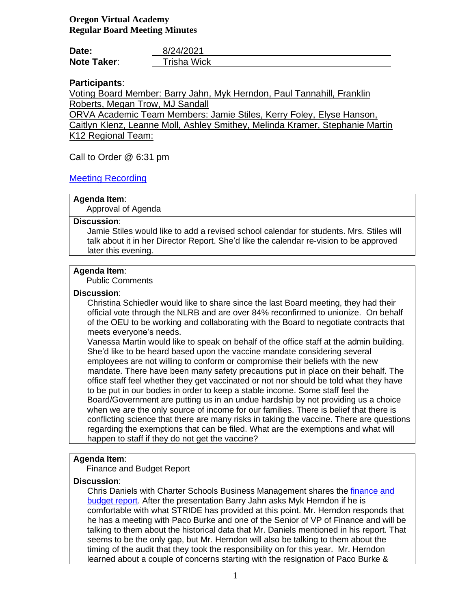## **Oregon Virtual Academy Regular Board Meeting Minutes**

| Date:              | 8/24/2021          |
|--------------------|--------------------|
| <b>Note Taker:</b> | <b>Trisha Wick</b> |

## **Participants**:

Voting Board Member: Barry Jahn, Myk Herndon, Paul Tannahill, Franklin Roberts, Megan Trow, MJ Sandall

ORVA Academic Team Members: Jamie Stiles, Kerry Foley, Elyse Hanson, Caitlyn Klenz, Leanne Moll, Ashley Smithey, Melinda Kramer, Stephanie Martin K12 Regional Team:

Call to Order @ 6:31 pm

## [Meeting Recording](https://k12inc-my.sharepoint.com/:v:/g/personal/twick_oregonva_org/EXBfQZoFDZBKkXV7-fSmm1IBXln-_SCOMZ8UIFnItNktaQ)

## **Agenda Item**:

Approval of Agenda

### **Discussion**:

Jamie Stiles would like to add a revised school calendar for students. Mrs. Stiles will talk about it in her Director Report. She'd like the calendar re-vision to be approved later this evening.

### **Agenda Item**:

Public Comments

## **Discussion**:

Christina Schiedler would like to share since the last Board meeting, they had their official vote through the NLRB and are over 84% reconfirmed to unionize. On behalf of the OEU to be working and collaborating with the Board to negotiate contracts that meets everyone's needs.

Vanessa Martin would like to speak on behalf of the office staff at the admin building. She'd like to be heard based upon the vaccine mandate considering several employees are not willing to conform or compromise their beliefs with the new mandate. There have been many safety precautions put in place on their behalf. The office staff feel whether they get vaccinated or not nor should be told what they have to be put in our bodies in order to keep a stable income. Some staff feel the Board/Government are putting us in an undue hardship by not providing us a choice when we are the only source of income for our families. There is belief that there is conflicting science that there are many risks in taking the vaccine. There are questions regarding the exemptions that can be filed. What are the exemptions and what will happen to staff if they do not get the vaccine?

### **Agenda Item**:

Finance and Budget Report

### **Discussion**:

Chris Daniels with Charter Schools Business Management shares the [finance and](https://k12inc-my.sharepoint.com/:p:/g/personal/twick_oregonva_org/EUAQqyCEiRdFoFzo8bx8y28BrlB7o6yEM1y5fBOOFr2Jug)  [budget report.](https://k12inc-my.sharepoint.com/:p:/g/personal/twick_oregonva_org/EUAQqyCEiRdFoFzo8bx8y28BrlB7o6yEM1y5fBOOFr2Jug) After the presentation Barry Jahn asks Myk Herndon if he is comfortable with what STRIDE has provided at this point. Mr. Herndon responds that he has a meeting with Paco Burke and one of the Senior of VP of Finance and will be talking to them about the historical data that Mr. Daniels mentioned in his report. That seems to be the only gap, but Mr. Herndon will also be talking to them about the timing of the audit that they took the responsibility on for this year. Mr. Herndon learned about a couple of concerns starting with the resignation of Paco Burke &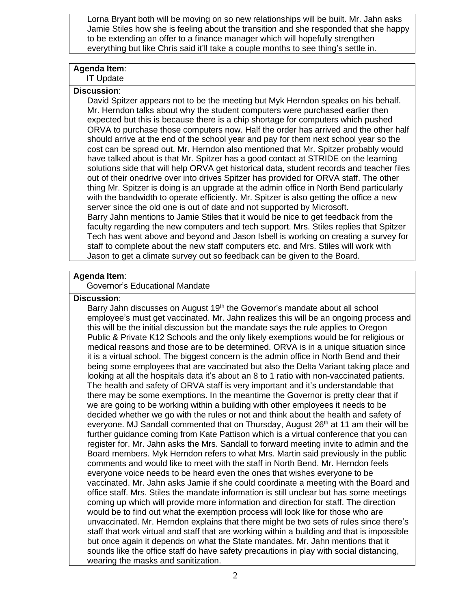Lorna Bryant both will be moving on so new relationships will be built. Mr. Jahn asks Jamie Stiles how she is feeling about the transition and she responded that she happy to be extending an offer to a finance manager which will hopefully strengthen everything but like Chris said it'll take a couple months to see thing's settle in.

## **Agenda Item**:

IT Update

## **Discussion**:

David Spitzer appears not to be the meeting but Myk Herndon speaks on his behalf. Mr. Herndon talks about why the student computers were purchased earlier then expected but this is because there is a chip shortage for computers which pushed ORVA to purchase those computers now. Half the order has arrived and the other half should arrive at the end of the school year and pay for them next school year so the cost can be spread out. Mr. Herndon also mentioned that Mr. Spitzer probably would have talked about is that Mr. Spitzer has a good contact at STRIDE on the learning solutions side that will help ORVA get historical data, student records and teacher files out of their onedrive over into drives Spitzer has provided for ORVA staff. The other thing Mr. Spitzer is doing is an upgrade at the admin office in North Bend particularly with the bandwidth to operate efficiently. Mr. Spitzer is also getting the office a new server since the old one is out of date and not supported by Microsoft. Barry Jahn mentions to Jamie Stiles that it would be nice to get feedback from the faculty regarding the new computers and tech support. Mrs. Stiles replies that Spitzer Tech has went above and beyond and Jason Isbell is working on creating a survey for staff to complete about the new staff computers etc. and Mrs. Stiles will work with Jason to get a climate survey out so feedback can be given to the Board.

### **Agenda Item**:

Governor's Educational Mandate

### **Discussion**:

Barry Jahn discusses on August 19<sup>th</sup> the Governor's mandate about all school employee's must get vaccinated. Mr. Jahn realizes this will be an ongoing process and this will be the initial discussion but the mandate says the rule applies to Oregon Public & Private K12 Schools and the only likely exemptions would be for religious or medical reasons and those are to be determined. ORVA is in a unique situation since it is a virtual school. The biggest concern is the admin office in North Bend and their being some employees that are vaccinated but also the Delta Variant taking place and looking at all the hospitals data it's about an 8 to 1 ratio with non-vaccinated patients. The health and safety of ORVA staff is very important and it's understandable that there may be some exemptions. In the meantime the Governor is pretty clear that if we are going to be working within a building with other employees it needs to be decided whether we go with the rules or not and think about the health and safety of everyone. MJ Sandall commented that on Thursday, August 26<sup>th</sup> at 11 am their will be further guidance coming from Kate Pattison which is a virtual conference that you can register for. Mr. Jahn asks the Mrs. Sandall to forward meeting invite to admin and the Board members. Myk Herndon refers to what Mrs. Martin said previously in the public comments and would like to meet with the staff in North Bend. Mr. Herndon feels everyone voice needs to be heard even the ones that wishes everyone to be vaccinated. Mr. Jahn asks Jamie if she could coordinate a meeting with the Board and office staff. Mrs. Stiles the mandate information is still unclear but has some meetings coming up which will provide more information and direction for staff. The direction would be to find out what the exemption process will look like for those who are unvaccinated. Mr. Herndon explains that there might be two sets of rules since there's staff that work virtual and staff that are working within a building and that is impossible but once again it depends on what the State mandates. Mr. Jahn mentions that it sounds like the office staff do have safety precautions in play with social distancing, wearing the masks and sanitization.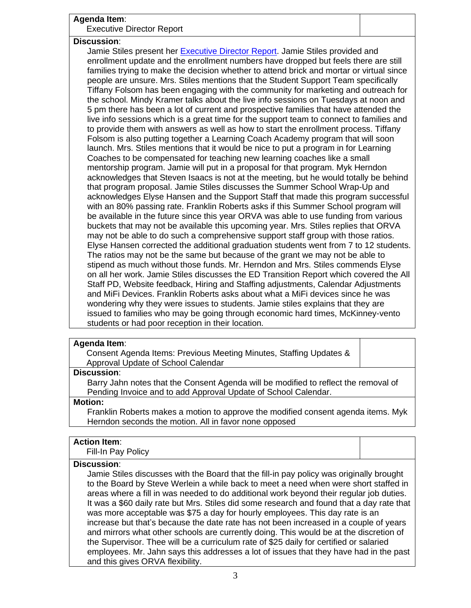| Agenda Item:                                                                                                                                                     |  |  |
|------------------------------------------------------------------------------------------------------------------------------------------------------------------|--|--|
| <b>Executive Director Report</b>                                                                                                                                 |  |  |
| <b>Discussion:</b>                                                                                                                                               |  |  |
| Jamie Stiles present her Executive Director Report. Jamie Stiles provided and                                                                                    |  |  |
| enrollment update and the enrollment numbers have dropped but feels there are still                                                                              |  |  |
| families trying to make the decision whether to attend brick and mortar or virtual since                                                                         |  |  |
| people are unsure. Mrs. Stiles mentions that the Student Support Team specifically                                                                               |  |  |
| Tiffany Folsom has been engaging with the community for marketing and outreach for                                                                               |  |  |
| the school. Mindy Kramer talks about the live info sessions on Tuesdays at noon and                                                                              |  |  |
| 5 pm there has been a lot of current and prospective families that have attended the                                                                             |  |  |
| live info sessions which is a great time for the support team to connect to families and                                                                         |  |  |
| to provide them with answers as well as how to start the enrollment process. Tiffany                                                                             |  |  |
| Folsom is also putting together a Learning Coach Academy program that will soon                                                                                  |  |  |
| launch. Mrs. Stiles mentions that it would be nice to put a program in for Learning                                                                              |  |  |
| Coaches to be compensated for teaching new learning coaches like a small                                                                                         |  |  |
| mentorship program. Jamie will put in a proposal for that program. Myk Herndon                                                                                   |  |  |
| acknowledges that Steven Isaacs is not at the meeting, but he would totally be behind                                                                            |  |  |
| that program proposal. Jamie Stiles discusses the Summer School Wrap-Up and                                                                                      |  |  |
| acknowledges Elyse Hansen and the Support Staff that made this program successful                                                                                |  |  |
| with an 80% passing rate. Franklin Roberts asks if this Summer School program will                                                                               |  |  |
| be available in the future since this year ORVA was able to use funding from various                                                                             |  |  |
| buckets that may not be available this upcoming year. Mrs. Stiles replies that ORVA                                                                              |  |  |
| may not be able to do such a comprehensive support staff group with those ratios.                                                                                |  |  |
| Elyse Hansen corrected the additional graduation students went from 7 to 12 students.                                                                            |  |  |
| The ratios may not be the same but because of the grant we may not be able to<br>stipend as much without those funds. Mr. Herndon and Mrs. Stiles commends Elyse |  |  |
| on all her work. Jamie Stiles discusses the ED Transition Report which covered the All                                                                           |  |  |
| Staff PD, Website feedback, Hiring and Staffing adjustments, Calendar Adjustments                                                                                |  |  |
| and MiFi Devices. Franklin Roberts asks about what a MiFi devices since he was                                                                                   |  |  |
| wondering why they were issues to students. Jamie stiles explains that they are                                                                                  |  |  |
| issued to families who may be going through economic hard times, McKinney-vento                                                                                  |  |  |
| students or had poor reception in their location.                                                                                                                |  |  |
|                                                                                                                                                                  |  |  |

### **Agenda Item**:

Consent Agenda Items: Previous Meeting Minutes, Staffing Updates & Approval Update of School Calendar

# **Discussion**:

Barry Jahn notes that the Consent Agenda will be modified to reflect the removal of Pending Invoice and to add Approval Update of School Calendar.

### **Motion:**

Franklin Roberts makes a motion to approve the modified consent agenda items. Myk Herndon seconds the motion. All in favor none opposed

## **Action Item**:

Fill-In Pay Policy

### **Discussion**:

Jamie Stiles discusses with the Board that the fill-in pay policy was originally brought to the Board by Steve Werlein a while back to meet a need when were short staffed in areas where a fill in was needed to do additional work beyond their regular job duties. It was a \$60 daily rate but Mrs. Stiles did some research and found that a day rate that was more acceptable was \$75 a day for hourly employees. This day rate is an increase but that's because the date rate has not been increased in a couple of years and mirrors what other schools are currently doing. This would be at the discretion of the Supervisor. Thee will be a curriculum rate of \$25 daily for certified or salaried employees. Mr. Jahn says this addresses a lot of issues that they have had in the past and this gives ORVA flexibility.